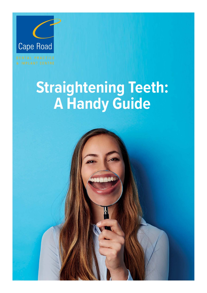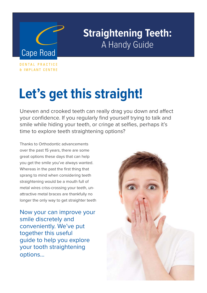

DENTAL PRACTICE **& IMPLANT CENTRE** 

## **Let's get this straight!**

Uneven and crooked teeth can really drag you down and affect your confidence. If you regularly find yourself trying to talk and smile while hiding your teeth, or cringe at selfies, perhaps it's time to explore teeth straightening options?

Thanks to Orthodontic advancements over the past 15 years, there are some great options these days that can help you get the smile you've always wanted. Whereas in the past the first thing that sprang to mind when considering teeth straightening would be a mouth full of metal wires criss-crossing your teeth, unattractive metal braces are thankfully no longer the only way to get straighter teeth

Now your can improve your smile discretely and conveniently. We've put together this useful guide to help you explore your tooth straightening options…

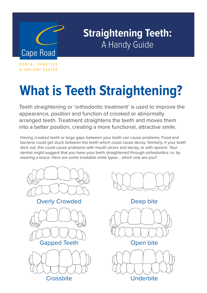

DENTAL PRACTICE **& IMPLANT CENTRE** 

# **What is Teeth Straightening?**

Teeth straightening or 'orthodontic treatment' is used to improve the appearance, position and function of crooked or abnormally arranged teeth. Treatment straightens the teeth and moves them into a better position, creating a more functional, attractive smile.

Having crooked teeth or large gaps between your teeth can cause problems. Food and bacteria could get stuck between the teeth which could cause decay. Similarly, if your teeth stick out, this could cause problems with mouth ulcers and decay, or with speech. Your dentist might suggest that you have your teeth straightened through orthodontics i.e. by wearing a brace. Here are some treatable smile types... which one are you?





Deep bite



Open bite



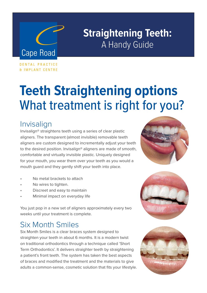# **Cape Road**

## **Straightening Teeth:** A Handy Guide

DENTAL PRACTICE **& IMPLANT CENTRE** 

## **Teeth Straightening options**  What treatment is right for you?

#### Invisalign

Invisalign® straightens teeth using a series of clear plastic aligners. The transparent (almost invisible) removable teeth aligners are custom designed to incrementally adjust your teeth to the desired position. Invisalign® aligners are made of smooth, comfortable and virtually invisible plastic. Uniquely designed for your mouth, you wear them over your teeth as you would a mouth guard and they gently shift your teeth into place.

- No metal brackets to attach
- No wires to tighten.
- Discreet and easy to maintain
- Minimal impact on everyday life

You just pop in a new set of aligners approximately every two weeks until your treatment is complete.

#### Six Month Smiles

Six Month Smiles is a clear braces system designed to straighten your teeth in about 6 months. It is a modern twist on traditional orthodontics through a technique called 'Short Term Orthodontics'. It delivers straighter teeth by straightening a patient's front teeth. The system has taken the best aspects of braces and modified the treatment and the materials to give adults a common-sense, cosmetic solution that fits your lifestyle.





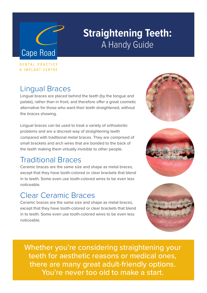# **Cape Road**

## **Straightening Teeth:** A Handy Guide

DENTAL PRACTICE & IMPLANT CENTRE

#### Lingual Braces

Lingual braces are placed behind the teeth (by the tongue and palate), rather than in front, and therefore offer a great cosmetic alternative for those who want their teeth straightened, without the braces showing.

Lingual braces can be used to treat a variety of orthodontic problems and are a discreet way of straightening teeth compared with traditional metal braces. They are comprised of small brackets and arch wires that are bonded to the back of the teeth making them virtually invisible to other people.

### Traditional Braces

Ceramic braces are the same size and shape as metal braces, except that they have tooth-colored or clear brackets that blend in to teeth. Some even use tooth-colored wires to be even less noticeable.

#### Clear Ceramic Braces

Ceramic braces are the same size and shape as metal braces, except that they have tooth-colored or clear brackets that blend in to teeth. Some even use tooth-colored wires to be even less noticeable.

Whether you're considering straightening your teeth for aesthetic reasons or medical ones, there are many great adult-friendly options. You're never too old to make a start.





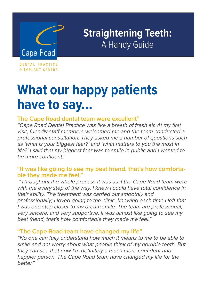

DENTAL PRACTICE **& IMPLANT CENTRE** 

## **What our happy patients have to say...**

#### **The Cape Road dental team were excellent"**

"Cape Road Dental Practice was like a breath of fresh air. At my first visit, friendly staff members welcomed me and the team conducted a professional consultation. They asked me a number of questions such as 'what is your biggest fear?' and 'what matters to you the most in life?' I said that my biggest fear was to smile in public and I wanted to be more confident."

#### **"It was like going to see my best friend, that's how comfortable they made me feel."**

 "Throughout the whole process it was as if the Cape Road team were with me every step of the way. I knew I could have total confidence in their ability. The treatment was carried out smoothly and professionally; I loved going to the clinic, knowing each time I left that I was one step closer to my dream smile. The team are professional, very sincere, and very supportive. It was almost like going to see my best friend, that's how comfortable they made me feel."

#### **"The Cape Road team have changed my life"**

"No one can fully understand how much it means to me to be able to smile and not worry about what people think of my horrible teeth. But they can see that now I'm definitely a much more confident and happier person. The Cape Road team have changed my life for the better."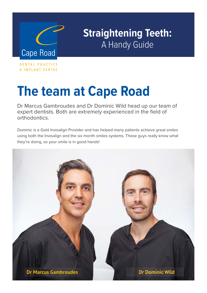

DENTAL PRACTICE & IMPLANT CENTRE

## **The team at Cape Road**

Dr Marcus Gambroudes and Dr Dominic Wild head up our team of expert dentists. Both are extremely experienced in the field of orthodontics.

Dominic is a Gold Invisalign Provider and has helped many patients achieve great smiles using both the Invisalign and the six month smiles systems. These guys really know what they're doing, so your smile is in good hands!